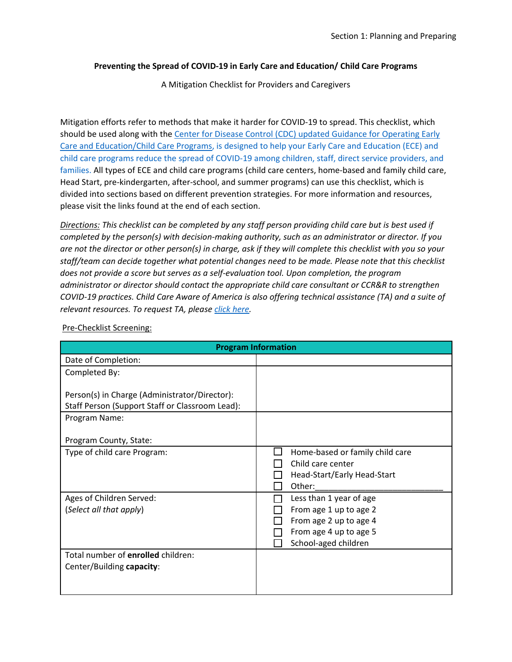## **Preventing the Spread of COVID-19 in Early Care and Education/ Child Care Programs**

A Mitigation Checklist for Providers and Caregivers

Mitigation efforts refer to methods that make it harder for COVID-19 to spread. This checklist, which should be used along with the Center for [Disease Control \(CDC\) updated Guidance for Operating Early](https://www.cdc.gov/coronavirus/2019-ncov/community/schools-childcare/child-care-guidance.html)  [Care and Education/Child Care Programs,](https://www.cdc.gov/coronavirus/2019-ncov/community/schools-childcare/child-care-guidance.html) is designed to help your Early Care and Education (ECE) and child care programs reduce the spread of COVID-19 among children, staff, direct service providers, and families. All types of ECE and child care programs (child care centers, home-based and family child care, Head Start, pre-kindergarten, after-school, and summer programs) can use this checklist, which is divided into sections based on different prevention strategies. For more information and resources, please visit the links found at the end of each section.

*Directions: This checklist can be completed by any staff person providing child care but is best used if completed by the person(s) with decision-making authority, such as an administrator or director. If you are not the director or other person(s) in charge, ask if they will complete this checklist with you so your staff/team can decide together what potential changes need to be made. Please note that this checklist does not provide a score but serves as a self-evaluation tool. Upon completion, the program administrator or director should contact the appropriate child care consultant or CCR&R to strengthen COVID-19 practices. Child Care Aware of America is also offering technical assistance (TA) and a suite of relevant resources. To request TA, please [click here.](https://info.childcareaware.org/request-technical-assistance-from-ccaoa)* 

| <b>Program Information</b>                                                                                        |                                                                                                                               |
|-------------------------------------------------------------------------------------------------------------------|-------------------------------------------------------------------------------------------------------------------------------|
| Date of Completion:                                                                                               |                                                                                                                               |
| Completed By:                                                                                                     |                                                                                                                               |
| Person(s) in Charge (Administrator/Director):<br>Staff Person (Support Staff or Classroom Lead):<br>Program Name: |                                                                                                                               |
| Program County, State:                                                                                            |                                                                                                                               |
| Type of child care Program:                                                                                       | Home-based or family child care<br>Child care center<br>Head-Start/Early Head-Start<br>Other:                                 |
| Ages of Children Served:<br>(Select all that apply)                                                               | Less than 1 year of age<br>From age 1 up to age 2<br>From age 2 up to age 4<br>From age 4 up to age 5<br>School-aged children |
| Total number of enrolled children:<br>Center/Building capacity:                                                   |                                                                                                                               |

Pre-Checklist Screening: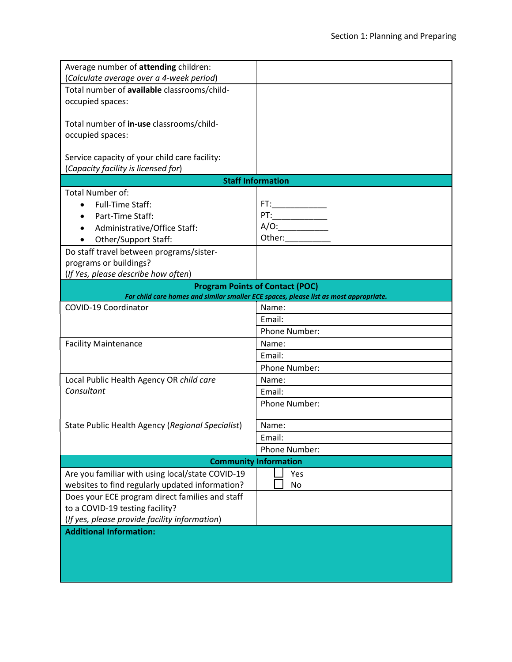| Average number of attending children:                                                                                           |                                 |
|---------------------------------------------------------------------------------------------------------------------------------|---------------------------------|
| (Calculate average over a 4-week period)                                                                                        |                                 |
| Total number of available classrooms/child-                                                                                     |                                 |
| occupied spaces:                                                                                                                |                                 |
|                                                                                                                                 |                                 |
| Total number of in-use classrooms/child-                                                                                        |                                 |
| occupied spaces:                                                                                                                |                                 |
|                                                                                                                                 |                                 |
| Service capacity of your child care facility:                                                                                   |                                 |
| (Capacity facility is licensed for)                                                                                             |                                 |
| <b>Staff Information</b>                                                                                                        |                                 |
| <b>Total Number of:</b>                                                                                                         |                                 |
| <b>Full-Time Staff:</b>                                                                                                         |                                 |
| Part-Time Staff:                                                                                                                | $PT:\underline{\hspace{2.5cm}}$ |
| Administrative/Office Staff:                                                                                                    | A/O:                            |
| Other/Support Staff:                                                                                                            |                                 |
| Do staff travel between programs/sister-                                                                                        |                                 |
| programs or buildings?                                                                                                          |                                 |
| (If Yes, please describe how often)                                                                                             |                                 |
| <b>Program Points of Contact (POC)</b><br>For child care homes and similar smaller ECE spaces, please list as most appropriate. |                                 |
| COVID-19 Coordinator                                                                                                            | Name:                           |
|                                                                                                                                 | Email:                          |
|                                                                                                                                 | Phone Number:                   |
| <b>Facility Maintenance</b>                                                                                                     | Name:                           |
|                                                                                                                                 | Email:                          |
|                                                                                                                                 | Phone Number:                   |
| Local Public Health Agency OR child care                                                                                        | Name:                           |
| Consultant                                                                                                                      | Email:                          |
|                                                                                                                                 | Phone Number:                   |
|                                                                                                                                 |                                 |
| State Public Health Agency (Regional Specialist)                                                                                | Name:                           |
|                                                                                                                                 | Email:                          |
|                                                                                                                                 | Phone Number:                   |
| <b>Community Information</b>                                                                                                    |                                 |
| Are you familiar with using local/state COVID-19                                                                                | Yes                             |
| websites to find regularly updated information?                                                                                 | No                              |
| Does your ECE program direct families and staff                                                                                 |                                 |
| to a COVID-19 testing facility?                                                                                                 |                                 |
| (If yes, please provide facility information)                                                                                   |                                 |
| <b>Additional Information:</b>                                                                                                  |                                 |
|                                                                                                                                 |                                 |
|                                                                                                                                 |                                 |
|                                                                                                                                 |                                 |
|                                                                                                                                 |                                 |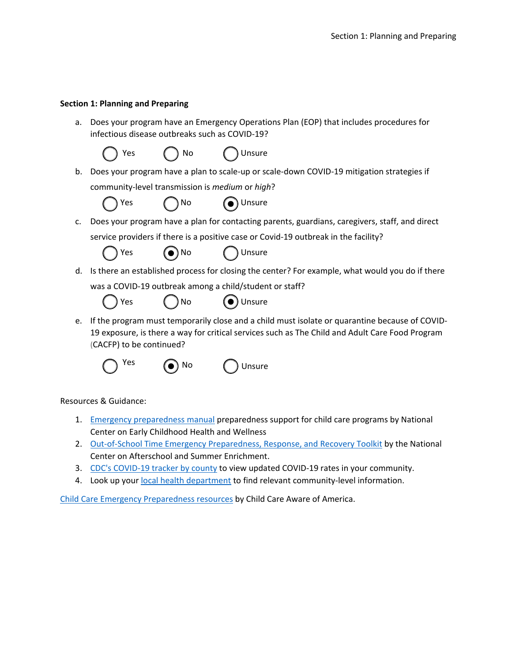## **Section 1: Planning and Preparing**

a. Does your program have an Emergency Operations Plan (EOP) that includes procedures for infectious disease outbreaks such as COVID-19?





Resources & Guidance:

- 1. [Emergency preparedness manual](https://eclkc.ohs.acf.hhs.gov/sites/default/files/pdf/emergency-preparedness-manual-early-childhood-programs.pdf) preparedness support for child care programs by National Center on Early Childhood Health and Wellness
- 2. [Out-of-School Time Emergency Preparedness, Response, and Recovery Toolkit](https://childcareta.acf.hhs.gov/resource/ost-emergency-preparedness-response-and-recovery-toolkit) by the National Center on Afterschool and Summer Enrichment.
- 3. [CDC's COVID-19 tracker by county](https://www.cdc.gov/coronavirus/2019-ncov/your-health/covid-by-county.html) to view updated COVID-19 rates in your community.
- 4. Look up you[r local health department](https://www.cdc.gov/publichealthgateway/healthdirectories/index.html) to find relevant community-level information.

[Child Care Emergency Preparedness resources](https://www.childcareaware.org/our-issues/crisis-and-disaster-resources/child-care-emergency-preparedness/) by Child Care Aware of America.